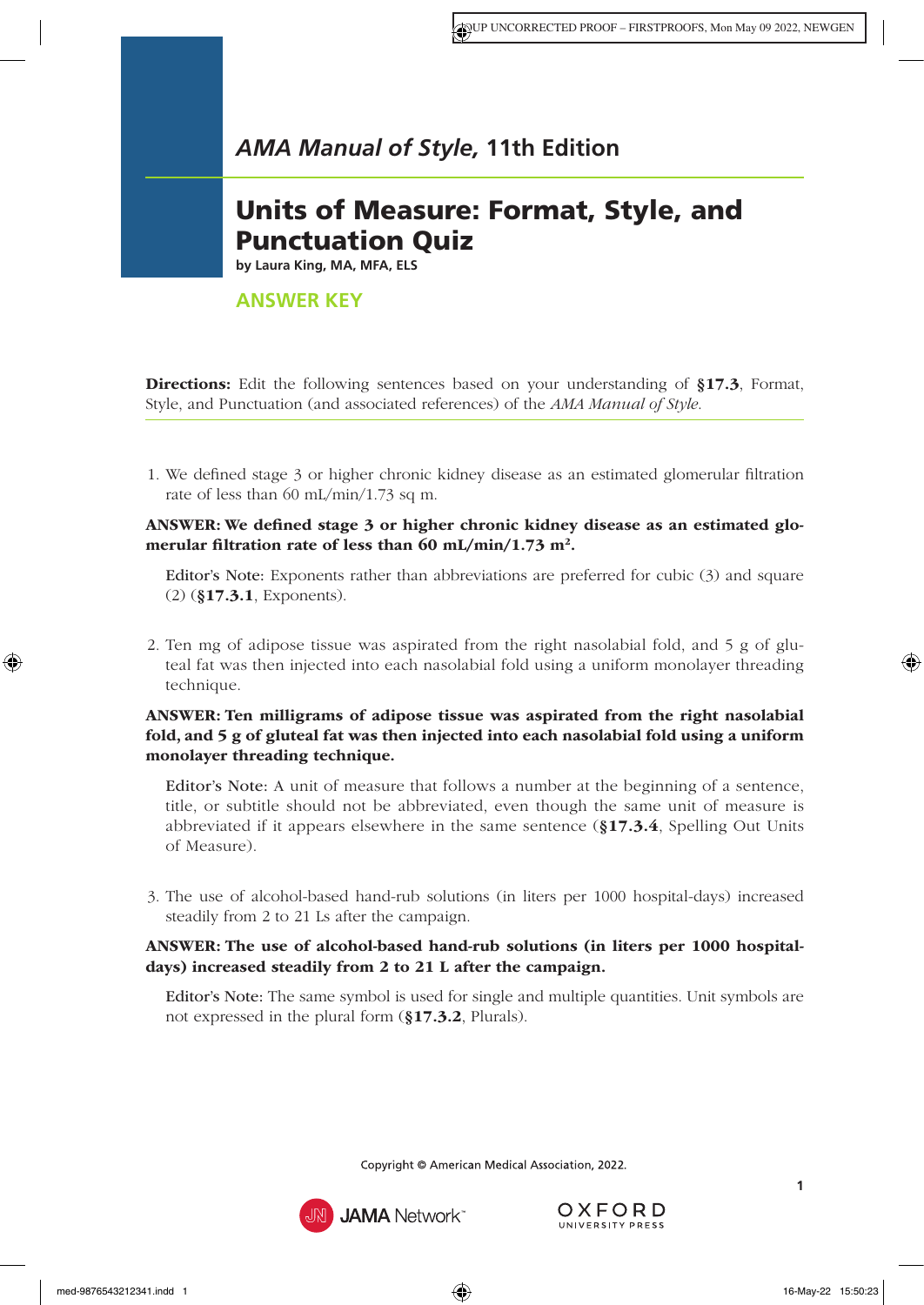# Units of Measure: Format, Style, and Punctuation Quiz

**by Laura King, MA, MFA, ELS**

# **ANSWER KEY**

Directions: Edit the following sentences based on your understanding of §17.3[, Format,](https://www.amamanualofstyle.com/view/10.1093/jama/9780190246556.001.0001/med-9780190246556-chapter-17-div1-4) [Style, and Punctuation](https://www.amamanualofstyle.com/view/10.1093/jama/9780190246556.001.0001/med-9780190246556-chapter-17-div1-4) (and associated references) of the *AMA Manual of Style*.

1. We defined stage 3 or higher chronic kidney disease as an estimated glomerular filtration rate of less than 60 mL/min/1.73 sq m.

ANSWER: We defined stage 3 or higher chronic kidney disease as an estimated glomerular filtration rate of less than 60 mL/min/1.73 m<sup>2</sup>.

Editor's Note: Exponents rather than abbreviations are preferred for cubic (3) and square (2) (§17.3.1[, Exponents\)](https://www.amamanualofstyle.com/view/10.1093/jama/9780190246556.001.0001/med-9780190246556-chapter-17-div2-9).

2. Ten mg of adipose tissue was aspirated from the right nasolabial fold, and 5 g of gluteal fat was then injected into each nasolabial fold using a uniform monolayer threading technique.

#### ANSWER: Ten milligrams of adipose tissue was aspirated from the right nasolabial fold, and 5 g of gluteal fat was then injected into each nasolabial fold using a uniform monolayer threading technique.

Editor's Note: A unit of measure that follows a number at the beginning of a sentence, title, or subtitle should not be abbreviated, even though the same unit of measure is abbreviated if it appears elsewhere in the same sentence (§17.3.4[, Spelling Out Units](https://www.amamanualofstyle.com/view/10.1093/jama/9780190246556.001.0001/med-9780190246556-chapter-17-div2-12) [of Measure\)](https://www.amamanualofstyle.com/view/10.1093/jama/9780190246556.001.0001/med-9780190246556-chapter-17-div2-12).

3. The use of alcohol-based hand-rub solutions (in liters per 1000 hospital-days) increased steadily from 2 to 21 Ls after the campaign.

#### ANSWER: The use of alcohol-based hand-rub solutions (in liters per 1000 hospitaldays) increased steadily from 2 to 21 L after the campaign.

Editor's Note: The same symbol is used for single and multiple quantities. Unit symbols are not expressed in the plural form (§17.3.2[, Plurals\).](https://www.amamanualofstyle.com/view/10.1093/jama/9780190246556.001.0001/med-9780190246556-chapter-17-div2-10)

Copyright © American Medical Association, 2022.



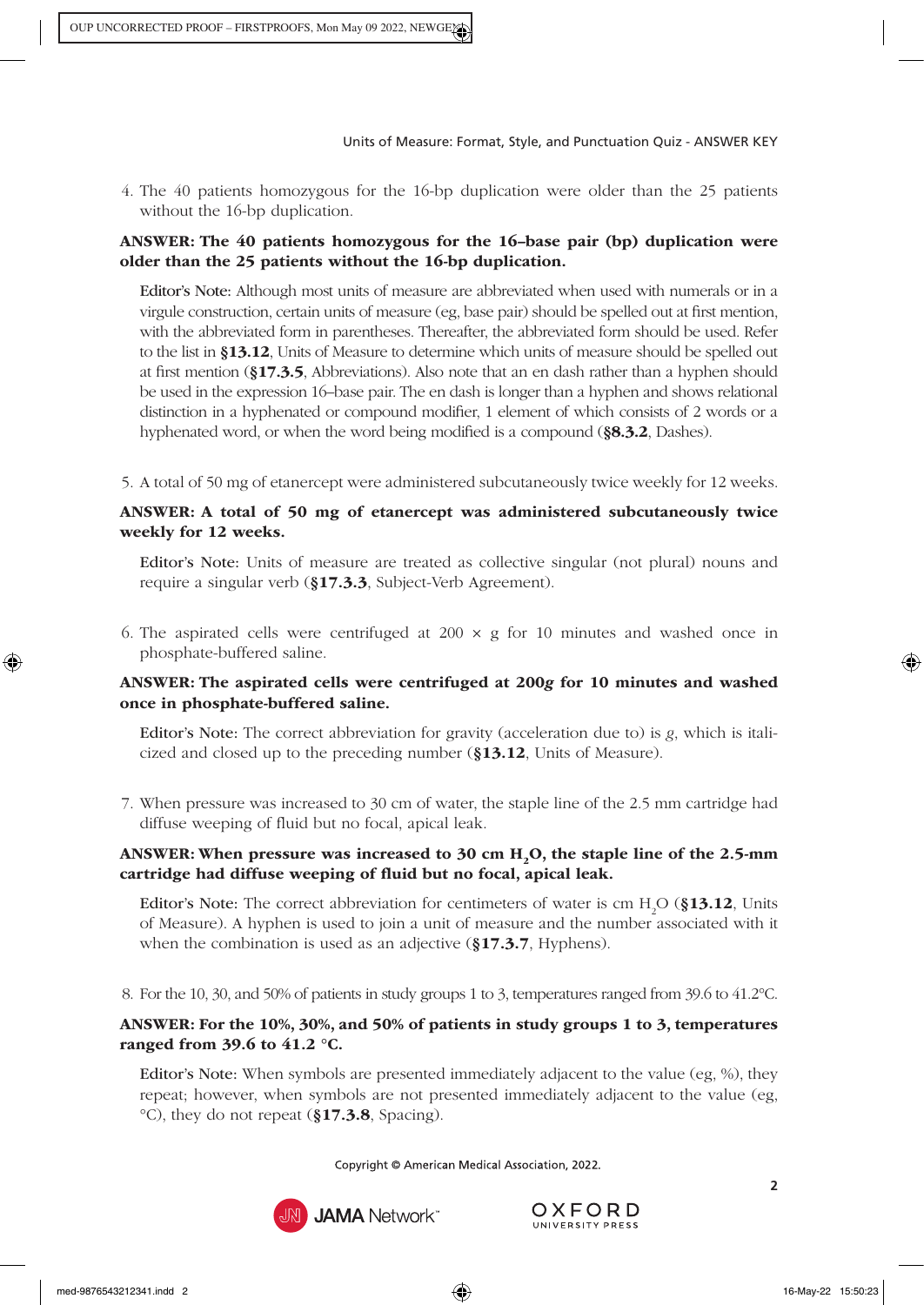4. The 40 patients homozygous for the 16-bp duplication were older than the 25 patients without the 16-bp duplication.

# ANSWER: The 40 patients homozygous for the 16–base pair (bp) duplication were older than the 25 patients without the 16-bp duplication.

Editor's Note: Although most units of measure are abbreviated when used with numerals or in a virgule construction, certain units of measure (eg, base pair) should be spelled out at first mention, with the abbreviated form in parentheses. Thereafter, the abbreviated form should be used. Refer to the list in §13.12[, Units of Measure](https://www.amamanualofstyle.com/view/10.1093/jama/9780190246556.001.0001/med-9780190246556-chapter-13-div1-49) to determine which units of measure should be spelled out at first mention (§17.3.5[, Abbreviations\)](https://www.amamanualofstyle.com/view/10.1093/jama/9780190246556.001.0001/med-9780190246556-chapter-17-div2-13). Also note that an en dash rather than a hyphen should be used in the expression 16–base pair. The en dash is longer than a hyphen and shows relational distinction in a hyphenated or compound modifier, 1 element of which consists of 2 words or a hyphenated word, or when the word being modified is a compound (§8.3.2[, Dashes\).](https://www.amamanualofstyle.com/view/10.1093/jama/9780190246556.001.0001/med-9780190246556-chapter-8-div2-341)

5. A total of 50 mg of etanercept were administered subcutaneously twice weekly for 12 weeks.

#### ANSWER: A total of 50 mg of etanercept was administered subcutaneously twice weekly for 12 weeks.

Editor's Note: Units of measure are treated as collective singular (not plural) nouns and require a singular verb (§17.3.3[, Subject-Verb Agreement\).](https://www.amamanualofstyle.com/view/10.1093/jama/9780190246556.001.0001/med-9780190246556-chapter-17-div2-11)

6. The aspirated cells were centrifuged at  $200 \times g$  for 10 minutes and washed once in phosphate-buffered saline.

# ANSWER: The aspirated cells were centrifuged at 200*g* for 10 minutes and washed once in phosphate-buffered saline.

Editor's Note: The correct abbreviation for gravity (acceleration due to) is *g*, which is italicized and closed up to the preceding number (§13.12[, Units of Measure\)](https://www.amamanualofstyle.com/view/10.1093/jama/9780190246556.001.0001/med-9780190246556-chapter-13-div1-49).

7. When pressure was increased to 30 cm of water, the staple line of the 2.5 mm cartridge had diffuse weeping of fluid but no focal, apical leak.

# ANSWER: When pressure was increased to  $30 \text{ cm H}, O$ , the staple line of the 2.5-mm cartridge had diffuse weeping of fluid but no focal, apical leak.

**Editor's Note:** The correct abbreviation for centimeters of water is cm  $H_2O$  (§13.12, Units [of Measure\). A](https://www.amamanualofstyle.com/view/10.1093/jama/9780190246556.001.0001/med-9780190246556-chapter-13-div1-49) hyphen is used to join a unit of measure and the number associated with it when the combination is used as an adjective (§17.3.7[, Hyphens\).](https://www.amamanualofstyle.com/view/10.1093/jama/9780190246556.001.0001/med-9780190246556-chapter-17-div2-15)

8. For the 10, 30, and 50% of patients in study groups 1 to 3, temperatures ranged from 39.6 to 41.2°C.

#### ANSWER: For the 10%, 30%, and 50% of patients in study groups 1 to 3, temperatures ranged from 39.6 to 41.2 °C.

Editor's Note: When symbols are presented immediately adjacent to the value (eg, %), they repeat; however, when symbols are not presented immediately adjacent to the value (eg, °C), they do not repeat (§17.3.8[, Spacing\).](https://www.amamanualofstyle.com/view/10.1093/jama/9780190246556.001.0001/med-9780190246556-chapter-17-div2-16)

Copyright © American Medical Association, 2022.